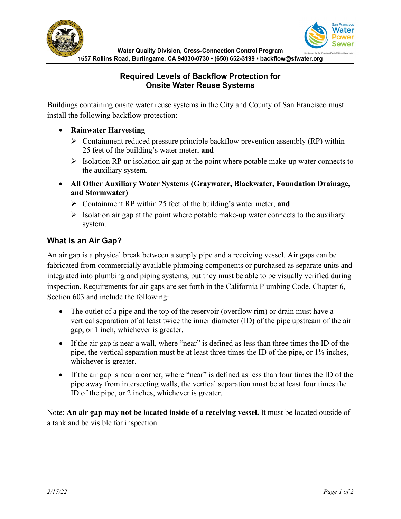

#### **Required Levels of Backflow Protection for Onsite Water Reuse Systems**

Buildings containing onsite water reuse systems in the City and County of San Francisco must install the following backflow protection:

- **Rainwater Harvesting**
	- $\triangleright$  Containment reduced pressure principle backflow prevention assembly (RP) within 25 feet of the building's water meter, **and**
	- Isolation RP **or** isolation air gap at the point where potable make-up water connects to the auxiliary system.
- **All Other Auxiliary Water Systems (Graywater, Blackwater, Foundation Drainage, and Stormwater)**
	- Containment RP within 25 feet of the building's water meter, **and**
	- $\triangleright$  Isolation air gap at the point where potable make-up water connects to the auxiliary system.

# **What Is an Air Gap?**

An air gap is a physical break between a supply pipe and a receiving vessel. Air gaps can be fabricated from commercially available plumbing components or purchased as separate units and integrated into plumbing and piping systems, but they must be able to be visually verified during inspection. Requirements for air gaps are set forth in the California Plumbing Code, Chapter 6, Section 603 and include the following:

- The outlet of a pipe and the top of the reservoir (overflow rim) or drain must have a vertical separation of at least twice the inner diameter (ID) of the pipe upstream of the air gap, or 1 inch, whichever is greater.
- If the air gap is near a wall, where "near" is defined as less than three times the ID of the pipe, the vertical separation must be at least three times the ID of the pipe, or 1½ inches, whichever is greater.
- If the air gap is near a corner, where "near" is defined as less than four times the ID of the pipe away from intersecting walls, the vertical separation must be at least four times the ID of the pipe, or 2 inches, whichever is greater.

Note: **An air gap may not be located inside of a receiving vessel.** It must be located outside of a tank and be visible for inspection.